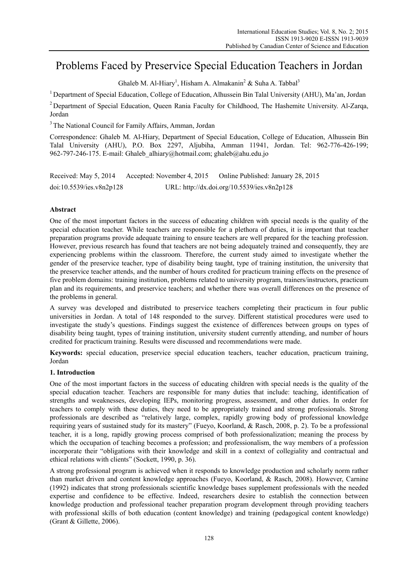# Problems Faced by Preservice Special Education Teachers in Jordan

Ghaleb M. Al-Hiary<sup>1</sup>, Hisham A. Almakanin<sup>2</sup> & Suha A. Tabbal<sup>3</sup>

1 Department of Special Education, College of Education, Alhussein Bin Talal University (AHU), Ma'an, Jordan

2 Department of Special Education, Queen Rania Faculty for Childhood, The Hashemite University. Al-Zarqa, Jordan

<sup>3</sup> The National Council for Family Affairs, Amman, Jordan

Correspondence: Ghaleb M. Al-Hiary, Department of Special Education, College of Education, Alhussein Bin Talal University (AHU), P.O. Box 2297, Aljubiha, Amman 11941, Jordan. Tel: 962-776-426-199; 962-797-246-175. E-mail: Ghaleb\_alhiary@hotmail.com; ghaleb@ahu.edu.jo

Received: May 5, 2014 Accepted: November 4, 2015 Online Published: January 28, 2015 doi:10.5539/ies.v8n2p128 URL: http://dx.doi.org/10.5539/ies.v8n2p128

# **Abstract**

One of the most important factors in the success of educating children with special needs is the quality of the special education teacher. While teachers are responsible for a plethora of duties, it is important that teacher preparation programs provide adequate training to ensure teachers are well prepared for the teaching profession. However, previous research has found that teachers are not being adequately trained and consequently, they are experiencing problems within the classroom. Therefore, the current study aimed to investigate whether the gender of the preservice teacher, type of disability being taught, type of training institution, the university that the preservice teacher attends, and the number of hours credited for practicum training effects on the presence of five problem domains: training institution, problems related to university program, trainers/instructors, practicum plan and its requirements, and preservice teachers; and whether there was overall differences on the presence of the problems in general.

A survey was developed and distributed to preservice teachers completing their practicum in four public universities in Jordan. A total of 148 responded to the survey. Different statistical procedures were used to investigate the study's questions. Findings suggest the existence of differences between groups on types of disability being taught, types of training institution, university student currently attending, and number of hours credited for practicum training. Results were discussed and recommendations were made.

**Keywords:** special education, preservice special education teachers, teacher education, practicum training, Jordan

# **1. Introduction**

One of the most important factors in the success of educating children with special needs is the quality of the special education teacher. Teachers are responsible for many duties that include: teaching, identification of strengths and weaknesses, developing IEPs, monitoring progress, assessment, and other duties. In order for teachers to comply with these duties, they need to be appropriately trained and strong professionals. Strong professionals are described as "relatively large, complex, rapidly growing body of professional knowledge requiring years of sustained study for its mastery" (Fueyo, Koorland, & Rasch, 2008, p. 2). To be a professional teacher, it is a long, rapidly growing process comprised of both professionalization; meaning the process by which the occupation of teaching becomes a profession; and professionalism, the way members of a profession incorporate their "obligations with their knowledge and skill in a context of collegiality and contractual and ethical relations with clients" (Sockett, 1990, p. 36).

A strong professional program is achieved when it responds to knowledge production and scholarly norm rather than market driven and content knowledge approaches (Fueyo, Koorland, & Rasch, 2008). However, Carnine (1992) indicates that strong professionals scientific knowledge bases supplement professionals with the needed expertise and confidence to be effective. Indeed, researchers desire to establish the connection between knowledge production and professional teacher preparation program development through providing teachers with professional skills of both education (content knowledge) and training (pedagogical content knowledge) (Grant & Gillette, 2006).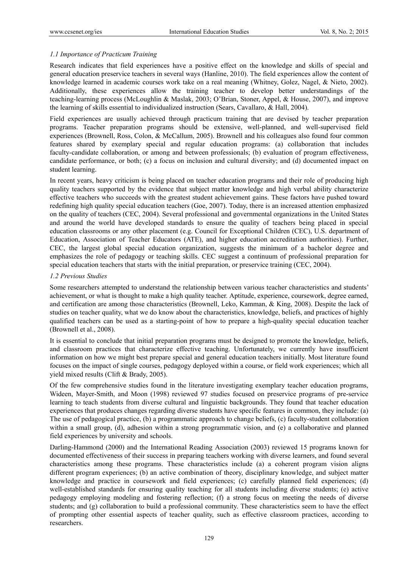# *1.1 Importance of Practicum Training*

Research indicates that field experiences have a positive effect on the knowledge and skills of special and general education preservice teachers in several ways (Hanline, 2010). The field experiences allow the content of knowledge learned in academic courses work take on a real meaning (Whitney, Golez, Nagel, & Nieto, 2002). Additionally, these experiences allow the training teacher to develop better understandings of the teaching-learning process (McLoughlin & Maslak, 2003; O'Brian, Stoner, Appel, & House, 2007), and improve the learning of skills essential to individualized instruction (Sears, Cavallaro, & Hall, 2004).

Field experiences are usually achieved through practicum training that are devised by teacher preparation programs. Teacher preparation programs should be extensive, well-planned, and well-supervised field experiences (Brownell, Ross, Colon, & McCallum, 2005). Brownell and his colleagues also found four common features shared by exemplary special and regular education programs: (a) collaboration that includes faculty-candidate collaboration, or among and between professionals; (b) evaluation of program effectiveness, candidate performance, or both; (c) a focus on inclusion and cultural diversity; and (d) documented impact on student learning.

In recent years, heavy criticism is being placed on teacher education programs and their role of producing high quality teachers supported by the evidence that subject matter knowledge and high verbal ability characterize effective teachers who succeeds with the greatest student achievement gains. These factors have pushed toward redefining high quality special education teachers (Goe, 2007). Today, there is an increased attention emphasized on the quality of teachers (CEC, 2004). Several professional and governmental organizations in the United States and around the world have developed standards to ensure the quality of teachers being placed in special education classrooms or any other placement (e.g. Council for Exceptional Children (CEC), U.S. department of Education, Association of Teacher Educators (ATE), and higher education accreditation authorities). Further, CEC, the largest global special education organization, suggests the minimum of a bachelor degree and emphasizes the role of pedagogy or teaching skills. CEC suggest a continuum of professional preparation for special education teachers that starts with the initial preparation, or preservice training (CEC, 2004).

## *1.2 Previous Studies*

Some researchers attempted to understand the relationship between various teacher characteristics and students' achievement, or what is thought to make a high quality teacher. Aptitude, experience, coursework, degree earned, and certification are among those characteristics (Brownell, Leko, Kamman, & King, 2008). Despite the lack of studies on teacher quality, what we do know about the characteristics, knowledge, beliefs, and practices of highly qualified teachers can be used as a starting-point of how to prepare a high-quality special education teacher (Brownell et al., 2008).

It is essential to conclude that initial preparation programs must be designed to promote the knowledge, beliefs, and classroom practices that characterize effective teaching. Unfortunately, we currently have insufficient information on how we might best prepare special and general education teachers initially. Most literature found focuses on the impact of single courses, pedagogy deployed within a course, or field work experiences; which all yield mixed results (Clift & Brady, 2005).

Of the few comprehensive studies found in the literature investigating exemplary teacher education programs, Wideen, Mayer-Smith, and Moon (1998) reviewed 97 studies focused on preservice programs of pre-service learning to teach students from diverse cultural and linguistic backgrounds. They found that teacher education experiences that produces changes regarding diverse students have specific features in common, they include: (a) The use of pedagogical practice, (b) a programmatic approach to change beliefs, (c) faculty-student collaboration within a small group, (d), adhesion within a strong programmatic vision, and (e) a collaborative and planned field experiences by university and schools.

Darling-Hammond (2000) and the International Reading Association (2003) reviewed 15 programs known for documented effectiveness of their success in preparing teachers working with diverse learners, and found several characteristics among these programs. These characteristics include (a) a coherent program vision aligns different program experiences; (b) an active combination of theory, disciplinary knowledge, and subject matter knowledge and practice in coursework and field experiences; (c) carefully planned field experiences; (d) well-established standards for ensuring quality teaching for all students including diverse students; (e) active pedagogy employing modeling and fostering reflection; (f) a strong focus on meeting the needs of diverse students; and (g) collaboration to build a professional community. These characteristics seem to have the effect of prompting other essential aspects of teacher quality, such as effective classroom practices, according to researchers.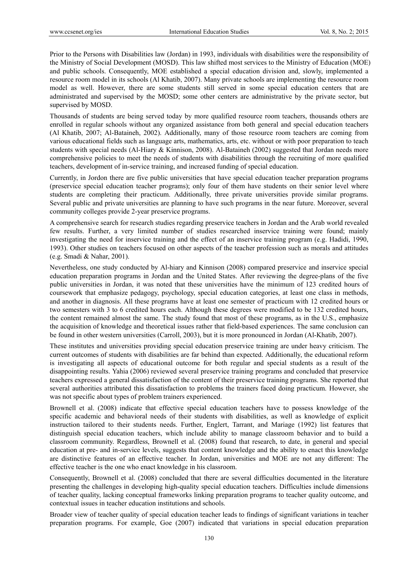Prior to the Persons with Disabilities law (Jordan) in 1993, individuals with disabilities were the responsibility of the Ministry of Social Development (MOSD). This law shifted most services to the Ministry of Education (MOE) and public schools. Consequently, MOE established a special education division and, slowly, implemented a resource room model in its schools (Al Khatib, 2007). Many private schools are implementing the resource room model as well. However, there are some students still served in some special education centers that are administrated and supervised by the MOSD; some other centers are administrative by the private sector, but supervised by MOSD.

Thousands of students are being served today by more qualified resource room teachers, thousands others are enrolled in regular schools without any organized assistance from both general and special education teachers (Al Khatib, 2007; Al-Bataineh, 2002). Additionally, many of those resource room teachers are coming from various educational fields such as language arts, mathematics, arts, etc. without or with poor preparation to teach students with special needs (Al-Hiary & Kinnison, 2008). Al-Bataineh (2002) suggested that Jordan needs more comprehensive policies to meet the needs of students with disabilities through the recruiting of more qualified teachers, development of in-service training, and increased funding of special education.

Currently, in Jordon there are five public universities that have special education teacher preparation programs (preservice special education teacher programs); only four of them have students on their senior level where students are completing their practicum. Additionally, three private universities provide similar programs. Several public and private universities are planning to have such programs in the near future. Moreover, several community colleges provide 2-year preservice programs.

A comprehensive search for research studies regarding preservice teachers in Jordan and the Arab world revealed few results. Further, a very limited number of studies researched inservice training were found; mainly investigating the need for inservice training and the effect of an inservice training program (e.g. Hadidi, 1990, 1993). Other studies on teachers focused on other aspects of the teacher profession such as morals and attitudes (e.g. Smadi & Nahar, 2001).

Nevertheless, one study conducted by Al-hiary and Kinnison (2008) compared preservice and inservice special education preparation programs in Jordan and the United States. After reviewing the degree-plans of the five public universities in Jordan, it was noted that these universities have the minimum of 123 credited hours of coursework that emphasize pedagogy, psychology, special education categories, at least one class in methods, and another in diagnosis. All these programs have at least one semester of practicum with 12 credited hours or two semesters with 3 to 6 credited hours each. Although these degrees were modified to be 132 credited hours, the content remained almost the same. The study found that most of these programs, as in the U.S., emphasize the acquisition of knowledge and theoretical issues rather that field-based experiences. The same conclusion can be found in other western universities (Carroll, 2003), but it is more pronounced in Jordan (Al-Khatib, 2007).

These institutes and universities providing special education preservice training are under heavy criticism. The current outcomes of students with disabilities are far behind than expected. Additionally, the educational reform is investigating all aspects of educational outcome for both regular and special students as a result of the disappointing results. Yahia (2006) reviewed several preservice training programs and concluded that preservice teachers expressed a general dissatisfaction of the content of their preservice training programs. She reported that several authorities attributed this dissatisfaction to problems the trainers faced doing practicum. However, she was not specific about types of problem trainers experienced.

Brownell et al. (2008) indicate that effective special education teachers have to possess knowledge of the specific academic and behavioral needs of their students with disabilities, as well as knowledge of explicit instruction tailored to their students needs. Further, Englert, Tarrant, and Mariage (1992) list features that distinguish special education teachers, which include ability to manage classroom behavior and to build a classroom community. Regardless, Brownell et al. (2008) found that research, to date, in general and special education at pre- and in-service levels, suggests that content knowledge and the ability to enact this knowledge are distinctive features of an effective teacher. In Jordan, universities and MOE are not any different: The effective teacher is the one who enact knowledge in his classroom.

Consequently, Brownell et al. (2008) concluded that there are several difficulties documented in the literature presenting the challenges in developing high-quality special education teachers. Difficulties include dimensions of teacher quality, lacking conceptual frameworks linking preparation programs to teacher quality outcome, and contextual issues in teacher education institutions and schools.

Broader view of teacher quality of special education teacher leads to findings of significant variations in teacher preparation programs. For example, Goe (2007) indicated that variations in special education preparation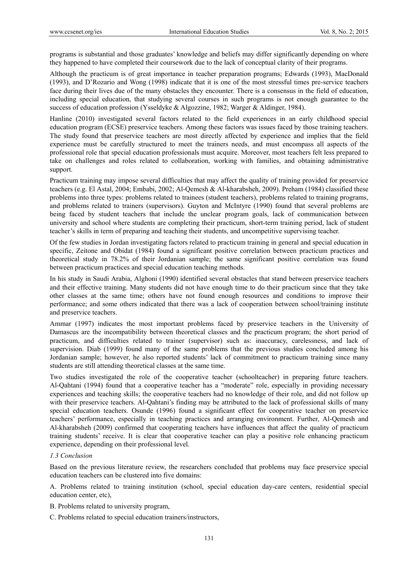programs is substantial and those graduates' knowledge and beliefs may differ significantly depending on where they happened to have completed their coursework due to the lack of conceptual clarity of their programs.

Although the practicum is of great importance in teacher preparation programs; Edwards (1993), MacDonald (1993), and D'Rozario and Wong (1998) indicate that it is one of the most stressful times pre-service teachers face during their lives due of the many obstacles they encounter. There is a consensus in the field of education, including special education, that studying several courses in such programs is not enough guarantee to the success of education profession (Ysseldyke & Algozzine, 1982; Warger & Aldinger, 1984).

Hanline (2010) investigated several factors related to the field experiences in an early childhood special education program (ECSE) preservice teachers. Among these factors was issues faced by those training teachers. The study found that preservice teachers are most directly affected by experience and implies that the field experience must be carefully structured to meet the trainers needs, and must encompass all aspects of the professional role that special education professionals must acquire. Moreover, most teachers felt less prepared to take on challenges and roles related to collaboration, working with families, and obtaining administrative support.

Practicum training may impose several difficulties that may affect the quality of training provided for preservice teachers (e.g. El Astal, 2004; Embabi, 2002; Al-Qemesh & Al-kharabsheh, 2009). Preham (1984) classified these problems into three types: problems related to trainees (student teachers), problems related to training programs, and problems related to trainers (supervisors). Guyton and McIntyre (1990) found that several problems are being faced by student teachers that include the unclear program goals, lack of communication between university and school where students are completing their practicum, short-term training period, lack of student teacher's skills in term of preparing and teaching their students, and uncompetitive supervising teacher.

Of the few studies in Jordan investigating factors related to practicum training in general and special education in specific, Zeitone and Obidat (1984) found a significant positive correlation between practicum practices and theoretical study in 78.2% of their Jordanian sample; the same significant positive correlation was found between practicum practices and special education teaching methods.

In his study in Saudi Arabia, Alghoni (1990) identified several obstacles that stand between preservice teachers and their effective training. Many students did not have enough time to do their practicum since that they take other classes at the same time; others have not found enough resources and conditions to improve their performance; and some others indicated that there was a lack of cooperation between school/training institute and preservice teachers.

Ammar (1997) indicates the most important problems faced by preservice teachers in the University of Damascus are the incompatibility between theoretical classes and the practicum program; the short period of practicum, and difficulties related to trainer (supervisor) such as: inaccuracy, carelessness, and lack of supervision. Diab (1999) found many of the same problems that the previous studies concluded among his Jordanian sample; however, he also reported students' lack of commitment to practicum training since many students are still attending theoretical classes at the same time.

Two studies investigated the role of the cooperative teacher (schoolteacher) in preparing future teachers. Al-Qahtani (1994) found that a cooperative teacher has a "moderate" role, especially in providing necessary experiences and teaching skills; the cooperative teachers had no knowledge of their role, and did not follow up with their preservice teachers. Al-Qahtani's finding may be attributed to the lack of professional skills of many special education teachers. Osunde (1996) found a significant effect for cooperative teacher on preservice teachers' performance, especially in teaching practices and arranging environment. Further, Al-Qemesh and Al-kharabsheh (2009) confirmed that cooperating teachers have influences that affect the quality of practicum training students' receive. It is clear that cooperative teacher can play a positive role enhancing practicum experience, depending on their professional level.

# *1.3 Conclusion*

Based on the previous literature review, the researchers concluded that problems may face preservice special education teachers can be clustered into five domains:

A. Problems related to training institution (school, special education day-care centers, residential special education center, etc),

- B. Problems related to university program,
- C. Problems related to special education trainers/instructors,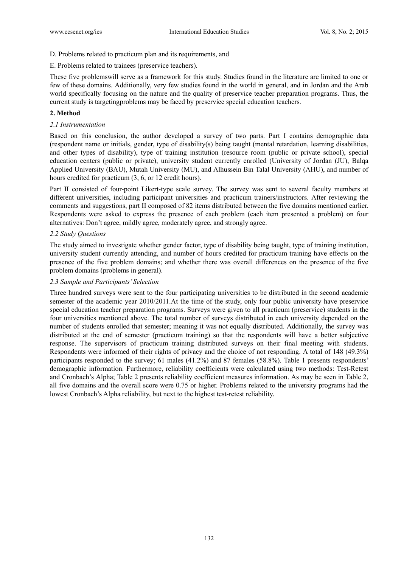- D. Problems related to practicum plan and its requirements, and
- E. Problems related to trainees (preservice teachers).

These five problemswill serve as a framework for this study. Studies found in the literature are limited to one or few of these domains. Additionally, very few studies found in the world in general, and in Jordan and the Arab world specifically focusing on the nature and the quality of preservice teacher preparation programs. Thus, the current study is targetingproblems may be faced by preservice special education teachers.

## **2. Method**

## *2.1 Instrumentation*

Based on this conclusion, the author developed a survey of two parts. Part I contains demographic data (respondent name or initials, gender, type of disability(s) being taught (mental retardation, learning disabilities, and other types of disability), type of training institution (resource room (public or private school), special education centers (public or private), university student currently enrolled (University of Jordan (JU), Balqa Applied University (BAU), Mutah University (MU), and Alhussein Bin Talal University (AHU), and number of hours credited for practicum (3, 6, or 12 credit hours).

Part II consisted of four-point Likert-type scale survey. The survey was sent to several faculty members at different universities, including participant universities and practicum trainers/instructors. After reviewing the comments and suggestions, part II composed of 82 items distributed between the five domains mentioned earlier. Respondents were asked to express the presence of each problem (each item presented a problem) on four alternatives: Don't agree, mildly agree, moderately agree, and strongly agree.

## *2.2 Study Questions*

The study aimed to investigate whether gender factor, type of disability being taught, type of training institution, university student currently attending, and number of hours credited for practicum training have effects on the presence of the five problem domains; and whether there was overall differences on the presence of the five problem domains (problems in general).

## *2.3 Sample and Participants' Selection*

Three hundred surveys were sent to the four participating universities to be distributed in the second academic semester of the academic year 2010/2011.At the time of the study, only four public university have preservice special education teacher preparation programs. Surveys were given to all practicum (preservice) students in the four universities mentioned above. The total number of surveys distributed in each university depended on the number of students enrolled that semester; meaning it was not equally distributed. Additionally, the survey was distributed at the end of semester (practicum training) so that the respondents will have a better subjective response. The supervisors of practicum training distributed surveys on their final meeting with students. Respondents were informed of their rights of privacy and the choice of not responding. A total of 148 (49.3%) participants responded to the survey; 61 males (41.2%) and 87 females (58.8%). Table 1 presents respondents' demographic information. Furthermore, reliability coefficients were calculated using two methods: Test-Retest and Cronbach's Alpha; Table 2 presents reliability coefficient measures information. As may be seen in Table 2, all five domains and the overall score were 0.75 or higher. Problems related to the university programs had the lowest Cronbach's Alpha reliability, but next to the highest test-retest reliability.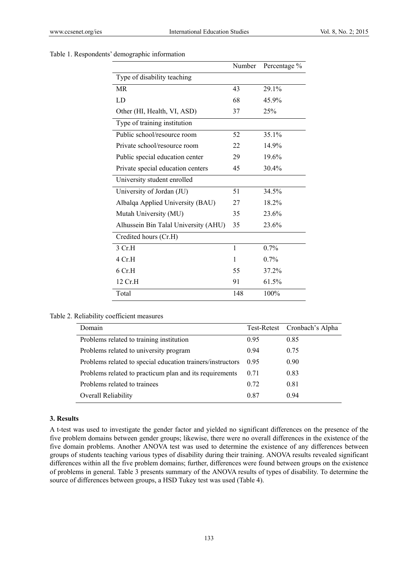|                                      | Number | Percentage % |
|--------------------------------------|--------|--------------|
| Type of disability teaching          |        |              |
| <b>MR</b>                            | 43     | 29.1%        |
| LD                                   | 68     | 45.9%        |
| Other (HI, Health, VI, ASD)          | 37     | 25%          |
| Type of training institution         |        |              |
| Public school/resource room          | 52     | 35.1%        |
| Private school/resource room         | 22     | 14.9%        |
| Public special education center      | 29     | 19.6%        |
| Private special education centers    | 45     | 30.4%        |
| University student enrolled          |        |              |
| University of Jordan (JU)            | 51     | 34.5%        |
| Albalqa Applied University (BAU)     | 27     | 18.2%        |
| Mutah University (MU)                | 35     | 23.6%        |
| Alhussein Bin Talal University (AHU) | 35     | 23.6%        |
| Credited hours (Cr.H)                |        |              |
| 3 Cr.H                               | 1      | $0.7\%$      |
| 4 Cr.H                               | 1      | $0.7\%$      |
| 6 <sub>Cr.H</sub>                    | 55     | 37.2%        |
| 12 Cr.H                              | 91     | 61.5%        |
| Total                                | 148    | 100%         |

## Table 1. Respondents' demographic information

Table 2. Reliability coefficient measures

| Domain                                                     |      | Test-Retest Cronbach's Alpha |
|------------------------------------------------------------|------|------------------------------|
| Problems related to training institution                   | 0.95 | 0.85                         |
| Problems related to university program                     | 0.94 | 0.75                         |
| Problems related to special education trainers/instructors | 0.95 | 0.90                         |
| Problems related to practicum plan and its requirements    | 0.71 | 0.83                         |
| Problems related to trainees                               | 0.72 | 0.81                         |
| Overall Reliability                                        | 0.87 | 0.94                         |

# **3. Results**

A t-test was used to investigate the gender factor and yielded no significant differences on the presence of the five problem domains between gender groups; likewise, there were no overall differences in the existence of the five domain problems. Another ANOVA test was used to determine the existence of any differences between groups of students teaching various types of disability during their training. ANOVA results revealed significant differences within all the five problem domains; further, differences were found between groups on the existence of problems in general. Table 3 presents summary of the ANOVA results of types of disability. To determine the source of differences between groups, a HSD Tukey test was used (Table 4).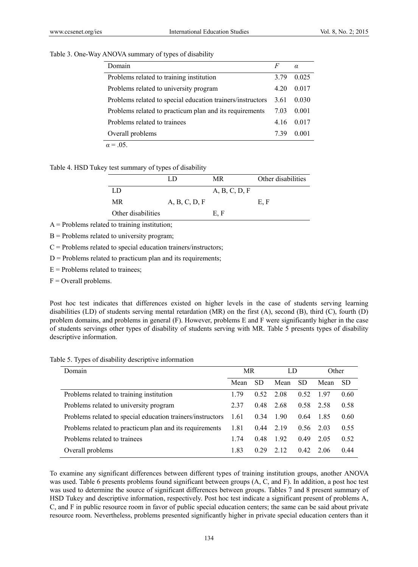| Table 3. One-Way ANOVA summary of types of disability |  |  |
|-------------------------------------------------------|--|--|
|                                                       |  |  |

| Domain                                                     | F     | $\alpha$ |
|------------------------------------------------------------|-------|----------|
| Problems related to training institution                   | 3.79  | 0.025    |
| Problems related to university program                     | 4 20  | 0.017    |
| Problems related to special education trainers/instructors | 3.61  | 0.030    |
| Problems related to practicum plan and its requirements    | 7.03  | 0.001    |
| Problems related to trainees                               | 4 1 6 | 0.017    |
| Overall problems                                           | 739   | 0.001    |
| $\alpha = .05$ .                                           |       |          |

#### Table 4. HSD Tukey test summary of types of disability

|                    | LD            | MR.           | Other disabilities |
|--------------------|---------------|---------------|--------------------|
| LD                 |               | A, B, C, D, F |                    |
| MR.                | A, B, C, D, F |               | E.F                |
| Other disabilities |               | E.F           |                    |

 $A =$  Problems related to training institution;

 $B =$  Problems related to university program;

 $C =$  Problems related to special education trainers/instructors;

 $D =$  Problems related to practicum plan and its requirements;

 $E =$  Problems related to trainees;

 $F =$ Overall problems.

Post hoc test indicates that differences existed on higher levels in the case of students serving learning disabilities (LD) of students serving mental retardation (MR) on the first (A), second (B), third (C), fourth (D) problem domains, and problems in general (F). However, problems E and F were significantly higher in the case of students servings other types of disability of students serving with MR. Table 5 presents types of disability descriptive information.

| Domain                                                     | <b>MR</b> |           | LD   |           | Other       |      |
|------------------------------------------------------------|-----------|-----------|------|-----------|-------------|------|
|                                                            | Mean      | <b>SD</b> | Mean | <b>SD</b> | Mean        | -SD  |
| Problems related to training institution                   | 179       | 0.52      | 2.08 | 0.52      | 197         | 0.60 |
| Problems related to university program                     | 2.37      | 0.48      | 2.68 | 0.58      | 2.58        | 0.58 |
| Problems related to special education trainers/instructors | 1.61      | 0.34      | 1.90 | 0.64      | -1.85       | 0.60 |
| Problems related to practicum plan and its requirements    | 1.81      | 0.44      | 2.19 |           | $0.56$ 2.03 | 0.55 |
| Problems related to trainees                               | 1.74      | 0.48      | 1.92 | 0.49      | 2.05        | 0.52 |
| Overall problems                                           | 1.83      | 0.29      | 2.12 | 0.42      | 2.06        | 0.44 |

Table 5. Types of disability descriptive information

To examine any significant differences between different types of training institution groups, another ANOVA was used. Table 6 presents problems found significant between groups (A, C, and F). In addition, a post hoc test was used to determine the source of significant differences between groups. Tables 7 and 8 present summary of HSD Tukey and descriptive information, respectively. Post hoc test indicate a significant present of problems A, C, and F in public resource room in favor of public special education centers; the same can be said about private resource room. Nevertheless, problems presented significantly higher in private special education centers than it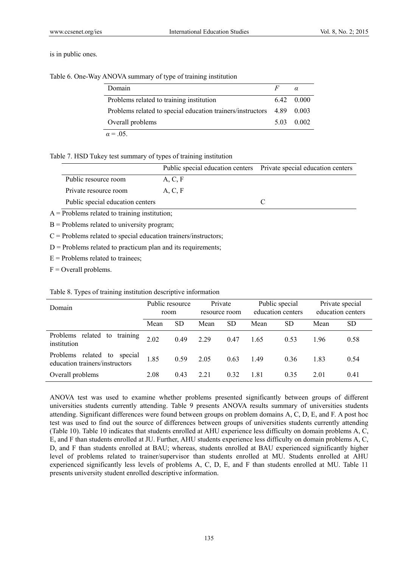is in public ones.

Table 6. One-Way ANOVA summary of type of training institution

| Domain                                                                | α                  |
|-----------------------------------------------------------------------|--------------------|
| Problems related to training institution                              | $6.42 \quad 0.000$ |
| Problems related to special education trainers/instructors 4.89 0.003 |                    |
| Overall problems                                                      | 5.03 0.002         |
| $\alpha = .05$ .                                                      |                    |

Table 7. HSD Tukey test summary of types of training institution

|                                  |         | Public special education centers Private special education centers |
|----------------------------------|---------|--------------------------------------------------------------------|
| Public resource room             | A, C, F |                                                                    |
| Private resource room            | A, C, F |                                                                    |
| Public special education centers |         |                                                                    |

 $A =$  Problems related to training institution;

 $B =$  Problems related to university program;

 $C =$  Problems related to special education trainers/instructors;

 $D =$  Problems related to practicum plan and its requirements;

 $E =$  Problems related to trainees;

 $F =$ Overall problems.

|  |  | Table 8. Types of training institution descriptive information |
|--|--|----------------------------------------------------------------|
|  |  |                                                                |

| Domain                                                              | Public resource<br>room |           | Private<br>resource room |           | Public special<br>education centers |           | Private special<br>education centers |           |
|---------------------------------------------------------------------|-------------------------|-----------|--------------------------|-----------|-------------------------------------|-----------|--------------------------------------|-----------|
|                                                                     | Mean                    | <b>SD</b> | Mean                     | <b>SD</b> | Mean                                | <b>SD</b> | Mean                                 | <b>SD</b> |
| training<br>Problems related<br>to<br>institution                   | 2.02                    | 0.49      | 2.29                     | 0.47      | 1.65                                | 0.53      | 1.96                                 | 0.58      |
| related to<br>Problems<br>special<br>education trainers/instructors | 1.85                    | 0.59      | 2.05                     | 0.63      | 1.49                                | 0.36      | 1.83                                 | 0.54      |
| Overall problems                                                    | 2.08                    | 0.43      | 2.21                     | 0.32      | 1.81                                | 0.35      | 2.01                                 | 0.41      |

ANOVA test was used to examine whether problems presented significantly between groups of different universities students currently attending. Table 9 presents ANOVA results summary of universities students attending. Significant differences were found between groups on problem domains A, C, D, E, and F. A post hoc test was used to find out the source of differences between groups of universities students currently attending (Table 10). Table 10 indicates that students enrolled at AHU experience less difficulty on domain problems A, C, E, and F than students enrolled at JU. Further, AHU students experience less difficulty on domain problems A, C, D, and F than students enrolled at BAU; whereas, students enrolled at BAU experienced significantly higher level of problems related to trainer/supervisor than students enrolled at MU. Students enrolled at AHU experienced significantly less levels of problems A, C, D, E, and F than students enrolled at MU. Table 11 presents university student enrolled descriptive information.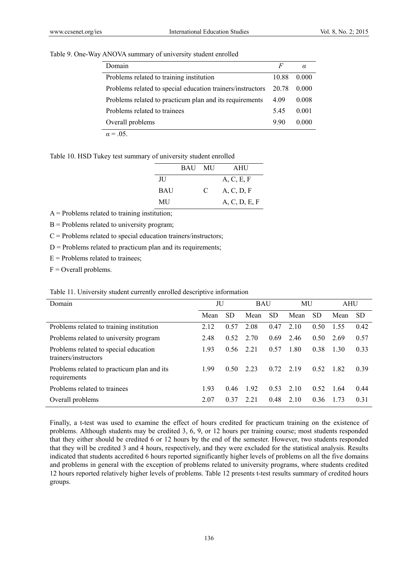| Table 9. One-Way ANOVA summary of university student enrolled |
|---------------------------------------------------------------|
|---------------------------------------------------------------|

| Domain                                                     | F     | α     |
|------------------------------------------------------------|-------|-------|
| Problems related to training institution                   | 10.88 | 0.000 |
| Problems related to special education trainers/instructors | 20.78 | 0.000 |
| Problems related to practicum plan and its requirements    | 4.09  | 0.008 |
| Problems related to trainees                               | 5.45  | 0.001 |
| Overall problems                                           | 990   | 0.000 |
| $\alpha = .05$ .                                           |       |       |

Table 10. HSD Tukey test summary of university student enrolled

|            | <b>BAU</b> | - MU | <b>AHU</b>    |
|------------|------------|------|---------------|
| ЛJ         |            |      | A, C, E, F    |
| <b>BAU</b> |            | C    | A, C, D, F    |
| MU         |            |      | A, C, D, E, F |

 $A =$  Problems related to training institution;

 $B =$  Problems related to university program;

 $C =$  Problems related to special education trainers/instructors;

 $D =$  Problems related to practicum plan and its requirements;

 $E =$  Problems related to trainees;

 $F =$ Overall problems.

|  |  |  | Table 11. University student currently enrolled descriptive information |
|--|--|--|-------------------------------------------------------------------------|
|  |  |  |                                                                         |

| Domain                                                        | JU   |      | <b>BAU</b> |      | <b>MU</b> |      | <b>AHU</b> |      |
|---------------------------------------------------------------|------|------|------------|------|-----------|------|------------|------|
|                                                               | Mean | SD.  | Mean       | SD.  | Mean      | SD.  | Mean       | SD.  |
| Problems related to training institution                      | 2.12 | 0.57 | 2.08       | 0.47 | 2.10      | 0.50 | 1.55       | 0.42 |
| Problems related to university program                        | 2.48 | 0.52 | 2.70       | 0.69 | 2.46      | 0.50 | 2.69       | 0.57 |
| Problems related to special education<br>trainers/instructors | 1.93 | 0.56 | 2.21       | 0.57 | 1.80      | 0.38 | 1.30       | 0.33 |
| Problems related to practicum plan and its<br>requirements    | 1.99 | 0.50 | 2.23       | 0.72 | 2.19      | 0.52 | 1.82       | 0.39 |
| Problems related to trainees                                  | 1.93 | 0.46 | 192        | 0.53 | 2.10      | 0.52 | 1.64       | 0.44 |
| Overall problems                                              | 2.07 | 0.37 | 2.21       | 0.48 | 2.10      | 0.36 | 1 73       | 0.31 |

Finally, a t-test was used to examine the effect of hours credited for practicum training on the existence of problems. Although students may be credited 3, 6, 9, or 12 hours per training course; most students responded that they either should be credited 6 or 12 hours by the end of the semester. However, two students responded that they will be credited 3 and 4 hours, respectively, and they were excluded for the statistical analysis. Results indicated that students accredited 6 hours reported significantly higher levels of problems on all the five domains and problems in general with the exception of problems related to university programs, where students credited 12 hours reported relatively higher levels of problems. Table 12 presents t-test results summary of credited hours groups.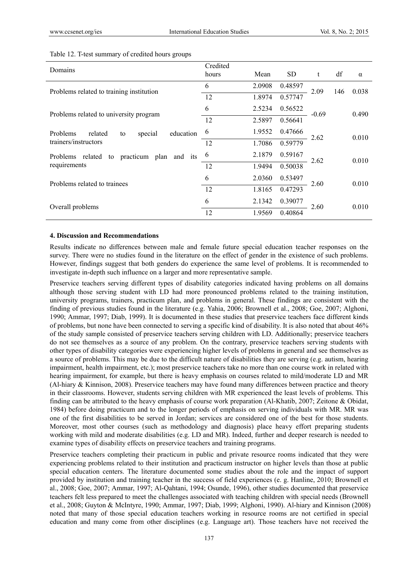| Domains                                                                   | Credited<br>hours | Mean   | <b>SD</b> | t       | df  | $\alpha$ |
|---------------------------------------------------------------------------|-------------------|--------|-----------|---------|-----|----------|
| Problems related to training institution                                  | 6                 | 2.0908 | 0.48597   | 2.09    | 146 | 0.038    |
|                                                                           | 12                | 1.8974 | 0.57747   |         |     |          |
| Problems related to university program                                    | 6                 | 2.5234 | 0.56522   | $-0.69$ |     | 0.490    |
|                                                                           | 12                | 2.5897 | 0.56641   |         |     |          |
| education<br>Problems<br>related<br>special<br>to<br>trainers/instructors | 6                 | 1.9552 | 0.47666   | 2.62    |     | 0.010    |
|                                                                           | 12                | 1.7086 | 0.59779   |         |     |          |
| practicum plan<br>Problems related<br>and its<br>to                       | 6                 | 2.1879 | 0.59167   | 2.62    |     | 0.010    |
| requirements                                                              | 12                | 1.9494 | 0.50038   |         |     |          |
| Problems related to trainees                                              | 6                 | 2.0360 | 0.53497   | 2.60    |     | 0.010    |
|                                                                           | 12                | 1.8165 | 0.47293   |         |     |          |
|                                                                           | 6                 | 2.1342 | 0.39077   |         |     | 0.010    |
| Overall problems                                                          | 12                | 1.9569 | 0.40864   | 2.60    |     |          |

#### Table 12. T-test summary of credited hours groups

#### **4. Discussion and Recommendations**

Results indicate no differences between male and female future special education teacher responses on the survey. There were no studies found in the literature on the effect of gender in the existence of such problems. However, findings suggest that both genders do experience the same level of problems. It is recommended to investigate in-depth such influence on a larger and more representative sample.

Preservice teachers serving different types of disability categories indicated having problems on all domains although those serving student with LD had more pronounced problems related to the training institution, university programs, trainers, practicum plan, and problems in general. These findings are consistent with the finding of previous studies found in the literature (e.g. Yahia, 2006; Brownell et al., 2008; Goe, 2007; Alghoni, 1990; Ammar, 1997; Diab, 1999). It is documented in these studies that preservice teachers face different kinds of problems, but none have been connected to serving a specific kind of disability. It is also noted that about 46% of the study sample consisted of preservice teachers serving children with LD. Additionally; preservice teachers do not see themselves as a source of any problem. On the contrary, preservice teachers serving students with other types of disability categories were experiencing higher levels of problems in general and see themselves as a source of problems. This may be due to the difficult nature of disabilities they are serving (e.g. autism, hearing impairment, health impairment, etc.); most preservice teachers take no more than one course work in related with hearing impairment, for example, but there is heavy emphasis on courses related to mild/moderate LD and MR (Al-hiary & Kinnison, 2008). Preservice teachers may have found many differences between practice and theory in their classrooms. However, students serving children with MR experienced the least levels of problems. This finding can be attributed to the heavy emphasis of course work preparation (Al-Khatib, 2007; Zeitone & Obidat, 1984) before doing practicum and to the longer periods of emphasis on serving individuals with MR. MR was one of the first disabilities to be served in Jordan; services are considered one of the best for those students. Moreover, most other courses (such as methodology and diagnosis) place heavy effort preparing students working with mild and moderate disabilities (e.g. LD and MR). Indeed, further and deeper research is needed to examine types of disability effects on preservice teachers and training programs.

Preservice teachers completing their practicum in public and private resource rooms indicated that they were experiencing problems related to their institution and practicum instructor on higher levels than those at public special education centers. The literature documented some studies about the role and the impact of support provided by institution and training teacher in the success of field experiences (e. g. Hanline, 2010; Brownell et al., 2008; Goe, 2007; Ammar, 1997; Al-Qahtani, 1994; Osunde, 1996), other studies documented that preservice teachers felt less prepared to meet the challenges associated with teaching children with special needs (Brownell et al., 2008; Guyton & McIntyre, 1990; Ammar, 1997; Diab, 1999; Alghoni, 1990). Al-hiary and Kinnison (2008) noted that many of those special education teachers working in resource rooms are not certified in special education and many come from other disciplines (e.g. Language art). Those teachers have not received the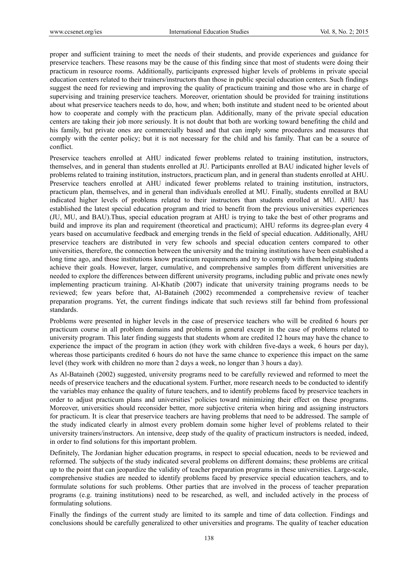proper and sufficient training to meet the needs of their students, and provide experiences and guidance for preservice teachers. These reasons may be the cause of this finding since that most of students were doing their practicum in resource rooms. Additionally, participants expressed higher levels of problems in private special education centers related to their trainers/instructors than those in public special education centers. Such findings suggest the need for reviewing and improving the quality of practicum training and those who are in charge of supervising and training preservice teachers. Moreover, orientation should be provided for training institutions about what preservice teachers needs to do, how, and when; both institute and student need to be oriented about how to cooperate and comply with the practicum plan. Additionally, many of the private special education centers are taking their job more seriously. It is not doubt that both are working toward benefiting the child and his family, but private ones are commercially based and that can imply some procedures and measures that comply with the center policy; but it is not necessary for the child and his family. That can be a source of conflict.

Preservice teachers enrolled at AHU indicated fewer problems related to training institution, instructors, themselves, and in general than students enrolled at JU. Participants enrolled at BAU indicated higher levels of problems related to training institution, instructors, practicum plan, and in general than students enrolled at AHU. Preservice teachers enrolled at AHU indicated fewer problems related to training institution, instructors, practicum plan, themselves, and in general than individuals enrolled at MU. Finally, students enrolled at BAU indicated higher levels of problems related to their instructors than students enrolled at MU. AHU has established the latest special education program and tried to benefit from the previous universities experiences (JU, MU, and BAU).Thus, special education program at AHU is trying to take the best of other programs and build and improve its plan and requirement (theoretical and practicum); AHU reforms its degree-plan every 4 years based on accumulative feedback and emerging trends in the field of special education. Additionally, AHU preservice teachers are distributed in very few schools and special education centers compared to other universities, therefore, the connection between the university and the training institutions have been established a long time ago, and those institutions know practicum requirements and try to comply with them helping students achieve their goals. However, larger, cumulative, and comprehensive samples from different universities are needed to explore the differences between different university programs, including public and private ones newly implementing practicum training. Al-Khatib (2007) indicate that university training programs needs to be reviewed; few years before that, Al-Bataineh (2002) recommended a comprehensive review of teacher preparation programs. Yet, the current findings indicate that such reviews still far behind from professional standards.

Problems were presented in higher levels in the case of preservice teachers who will be credited 6 hours per practicum course in all problem domains and problems in general except in the case of problems related to university program. This later finding suggests that students whom are credited 12 hours may have the chance to experience the impact of the program in action (they work with children five-days a week, 6 hours per day), whereas those participants credited 6 hours do not have the same chance to experience this impact on the same level (they work with children no more than 2 days a week, no longer than 3 hours a day).

As Al-Bataineh (2002) suggested, university programs need to be carefully reviewed and reformed to meet the needs of preservice teachers and the educational system. Further, more research needs to be conducted to identify the variables may enhance the quality of future teachers, and to identify problems faced by preservice teachers in order to adjust practicum plans and universities' policies toward minimizing their effect on these programs. Moreover, universities should reconsider better, more subjective criteria when hiring and assigning instructors for practicum. It is clear that preservice teachers are having problems that need to be addressed. The sample of the study indicated clearly in almost every problem domain some higher level of problems related to their university trainers/instructors. An intensive, deep study of the quality of practicum instructors is needed, indeed, in order to find solutions for this important problem.

Definitely, The Jordanian higher education programs, in respect to special education, needs to be reviewed and reformed. The subjects of the study indicated several problems on different domains; these problems are critical up to the point that can jeopardize the validity of teacher preparation programs in these universities. Large-scale, comprehensive studies are needed to identify problems faced by preservice special education teachers, and to formulate solutions for such problems. Other parties that are involved in the process of teacher preparation programs (e.g. training institutions) need to be researched, as well, and included actively in the process of formulating solutions.

Finally the findings of the current study are limited to its sample and time of data collection. Findings and conclusions should be carefully generalized to other universities and programs. The quality of teacher education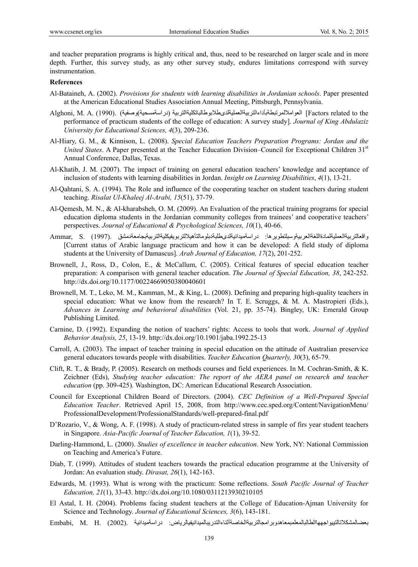and teacher preparation programs is highly critical and, thus, need to be researched on larger scale and in more depth. Further, this survey study, as any other survey study, endures limitations correspond with survey instrumentation.

#### **References**

- Al-Bataineh, A. (2002). *Provisions for students with learning disabilities in Jordanian schools*. Paper presented at the American Educational Studies Association Annual Meeting, Pittsburgh, Pennsylvania.
- Alghoni, M. A. (1990). ( وصلالم العاملية بستة العملية العواملالبوطالباتكليةالتربية (در اسةمسحية)وصفية) من المردم المرتبطة بأداءالتربية performance of practicum students of the college of education: A survey study]. *Journal of King Abdulaziz University for Educational Sciences, 4*(3), 209-236.
- Al-Hiary, G. M., & Kinnison, L. (2008). *Special Education Teachers Preparation Programs: Jordan and the United States*. A Paper presented at the Teacher Education Division–Council for Exceptional Children 31<sup>st</sup> Annual Conference, Dallas, Texas.
- Al-Khatib, J. M. (2007). The impact of training on general education teachers' knowledge and acceptance of inclusion of students with learning disabilities in Jordan. *Insight on Learning Disabilities*, *4*(1), 13-21.
- Al-Qahtani, S. A. (1994). The Role and influence of the cooperating teacher on student teachers during student teaching. *Risalat Ul-Khaleej Al-Arabi, 15*(51), 37-79.
- Al-Qemesh, M. N., & Al-kharabsheh, O. M. (2009). An Evaluation of the practical training programs for special education diploma students in the Jordanian community colleges from trainees' and cooperative teachers' perspectives. *Journal of Educational & Psychological Sciences, 10*(1), 40-66.
- واقعالتربيةالعمليةلمادةاللغةالعربيةوسبلتطويرها: دراسةميدانيةلدىطلبةدبلومالتأهيلالتربويفيكليةالتربيةبجامعةدمشق .(1997) .S ,Ammar [Current status of Arabic language practicum and how it can be developed: A field study of diploma students at the University of Damascus]. *Arab Journal of Education, 17*(2), 201-252.
- Brownell, J., Ross, D., Colon, E., & McCallum, C. (2005). Critical features of special education teacher preparation: A comparison with general teacher education. *The Journal of Special Education, 38*, 242-252. http://dx.doi.org/10.1177/00224669050380040601
- Brownell, M. T., Leko, M. M., Kamman, M., & King, L. (2008). Defining and preparing high-quality teachers in special education: What we know from the research? In T. E. Scruggs, & M. A. Mastropieri (Eds.), *Advances in Learning and behavioral disabilities* (Vol. 21, pp. 35-74). Bingley, UK: Emerald Group Publishing Limited.
- Carnine, D. (1992). Expanding the notion of teachers' rights: Access to tools that work. *Journal of Applied Behavior Analysis, 25*, 13-19. http://dx.doi.org/10.1901/jaba.1992.25-13
- Carroll, A. (2003). The impact of teacher training in special education on the attitude of Australian preservice general educators towards people with disabilities. *Teacher Education Quarterly, 30*(3), 65-79.
- Clift, R. T., & Brady, P. (2005). Research on methods courses and field experiences. In M. Cochran-Smith, & K. Zeichner (Eds), *Studying teacher education: The report of the AERA panel on research and teacher education* (pp. 309-425). Washington, DC: American Educational Research Association.
- Council for Exceptional Children Board of Directors. (2004). *CEC Definition of a Well-Prepared Special Education Teacher*. Retrieved April 15, 2008, from http://www.cec.sped.org/Content/NavigationMenu/ ProfessionalDevelopment/ProfessionalStandards/well-prepared-final.pdf
- D'Rozario, V., & Wong, A. F. (1998). A study of practicum-related stress in sample of firs year student teachers in Singapore. *Asia-Pacific Journal of Teacher Education, 1*(1), 39-52.
- Darling-Hammond, L. (2000). *Studies of excellence in teacher education*. New York, NY: National Commission on Teaching and America's Future.
- Diab, T. (1999). Attitudes of student teachers towards the practical education programme at the University of Jordan: An evaluation study. *Dirasat, 26*(1), 142-163.
- Edwards, M. (1993). What is wrong with the practicum: Some reflections. *South Pacific Journal of Teacher Education, 21*(1), 33-43. http://dx.doi.org/10.1080/0311213930210105
- El Astal, I. H. (2004). Problems facing student teachers at the College of Education-Ajman University for Science and Technology. *Journal of Educational Sciences, 3*(6), 143-181.
- Embabi, M. H. (2002). دراسةميدانية :بعضالمشكلاتالتييواجههاالطالبالمعلمبمعاهدوبرامجالتربيةالخاصةأثناءالتدريبالميدانيفيالرياض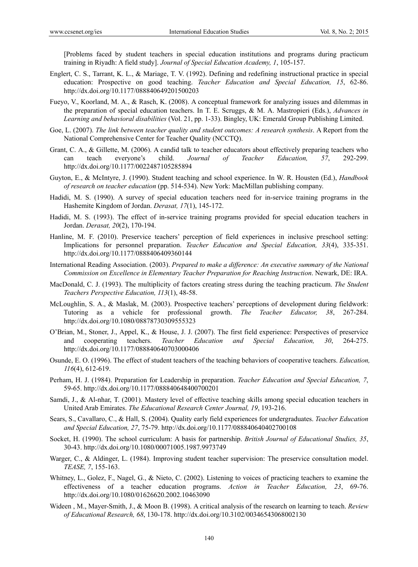[Problems faced by student teachers in special education institutions and programs during practicum training in Riyadh: A field study]. *Journal of Special Education Academy, 1*, 105-157.

- Englert, C. S., Tarrant, K. L., & Mariage, T. V. (1992). Defining and redefining instructional practice in special education: Prospective on good teaching. *Teacher Education and Special Education, 15*, 62-86. http://dx.doi.org/10.1177/088840649201500203
- Fueyo, V., Koorland, M. A., & Rasch, K. (2008). A conceptual framework for analyzing issues and dilemmas in the preparation of special education teachers. In T. E. Scruggs, & M. A. Mastropieri (Eds.), *Advances in Learning and behavioral disabilities* (Vol. 21, pp. 1-33). Bingley, UK: Emerald Group Publishing Limited.
- Goe, L. (2007). *The link between teacher quality and student outcomes: A research synthesis*. A Report from the National Comprehensive Center for Teacher Quality (NCCTQ).
- Grant, C. A., & Gillette, M. (2006). A candid talk to teacher educators about effectively preparing teachers who can teach everyone's child. *Journal of Teacher Education, 57*, 292-299. http://dx.doi.org/10.1177/0022487105285894
- Guyton, E., & McIntyre, J. (1990). Student teaching and school experience. In W. R. Housten (Ed.), *Handbook of research on teacher education* (pp. 514-534). New York: MacMillan publishing company.
- Hadidi, M. S. (1990). A survey of special education teachers need for in-service training programs in the Hashemite Kingdom of Jordan. *Derasat, 17*(1), 145-172.
- Hadidi, M. S. (1993). The effect of in-service training programs provided for special education teachers in Jordan. *Derasat, 20*(2), 170-194.
- Hanline, M. F. (2010). Preservice teachers' perception of field experiences in inclusive preschool setting: Implications for personnel preparation. *Teacher Education and Special Education, 33*(4), 335-351. http://dx.doi.org/10.1177/0888406409360144
- International Reading Association. (2003). *Prepared to make a difference: An executive summary of the National Commission on Excellence in Elementary Teacher Preparation for Reaching Instruction*. Newark, DE: IRA.
- MacDonald, C. J. (1993). The multiplicity of factors creating stress during the teaching practicum. *The Student Teachers Perspective Education, 113*(1), 48-58.
- McLoughlin, S. A., & Maslak, M. (2003). Prospective teachers' perceptions of development during fieldwork: Tutoring as a vehicle for professional growth. *The Teacher Educator, 38*, 267-284. http://dx.doi.org/10.1080/08878730309555323
- O'Brian, M., Stoner, J., Appel, K., & House, J. J. (2007). The first field experience: Perspectives of preservice and cooperating teachers. *Teacher Education and Special Education, 30*, 264-275. http://dx.doi.org/10.1177/088840640703000406
- Osunde, E. O. (1996). The effect of student teachers of the teaching behaviors of cooperative teachers. *Education, 116*(4), 612-619.
- Perham, H. J. (1984). Preparation for Leadership in preparation. *Teacher Education and Special Education, 7*, 59-65. http://dx.doi.org/10.1177/088840648400700201
- Samdi, J., & Al-nhar, T. (2001). Mastery level of effective teaching skills among special education teachers in United Arab Emirates. *The Educational Research Center Journal, 19*, 193-216.
- Sears, S., Cavallaro, C., & Hall, S. (2004). Quality early field experiences for undergraduates. *Teacher Education and Special Education, 27*, 75-79. http://dx.doi.org/10.1177/088840640402700108
- Socket, H. (1990). The school curriculum: A basis for partnership. *British Journal of Educational Studies, 35*, 30-43. http://dx.doi.org/10.1080/00071005.1987.9973749
- Warger, C., & Aldinger, L. (1984). Improving student teacher supervision: The preservice consultation model. *TEASE, 7*, 155-163.
- Whitney, L., Golez, F., Nagel, G., & Nieto, C. (2002). Listening to voices of practicing teachers to examine the effectiveness of a teacher education programs. *Action in Teacher Education, 23*, 69-76. http://dx.doi.org/10.1080/01626620.2002.10463090
- Wideen , M., Mayer-Smith, J., & Moon B. (1998). A critical analysis of the research on learning to teach. *Review of Educational Research, 68*, 130-178. http://dx.doi.org/10.3102/00346543068002130